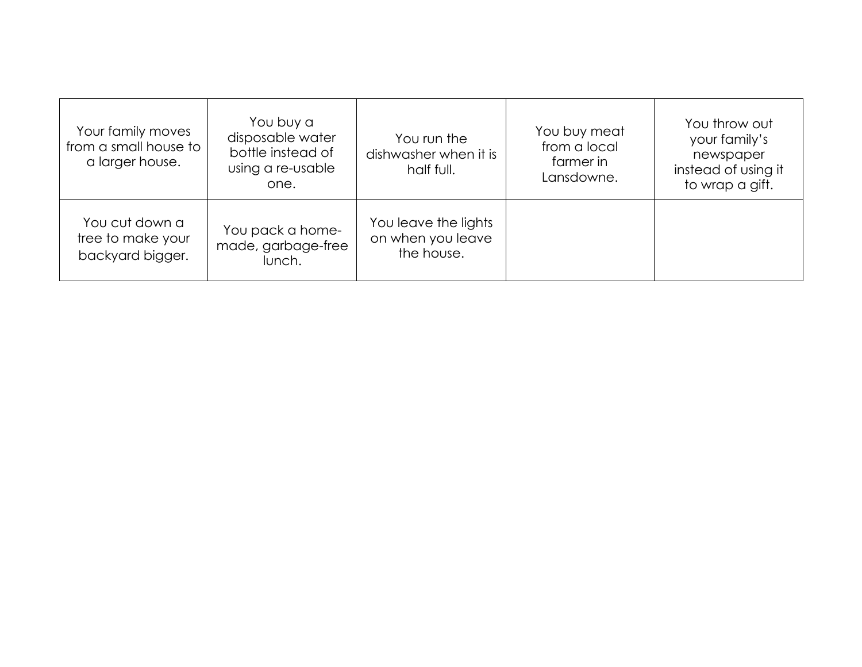| Your family moves<br>from a small house to<br>a larger house. | You buy a<br>disposable water<br>bottle instead of<br>using a re-usable<br>one. | You run the<br>dishwasher when it is<br>half full.      | You buy meat<br>from a local<br>farmer in<br>Lansdowne. | You throw out<br>your family's<br>newspaper<br>instead of using it<br>to wrap a gift. |
|---------------------------------------------------------------|---------------------------------------------------------------------------------|---------------------------------------------------------|---------------------------------------------------------|---------------------------------------------------------------------------------------|
| You cut down a<br>tree to make your<br>backyard bigger.       | You pack a home-<br>made, garbage-free<br>lunch.                                | You leave the lights<br>on when you leave<br>the house. |                                                         |                                                                                       |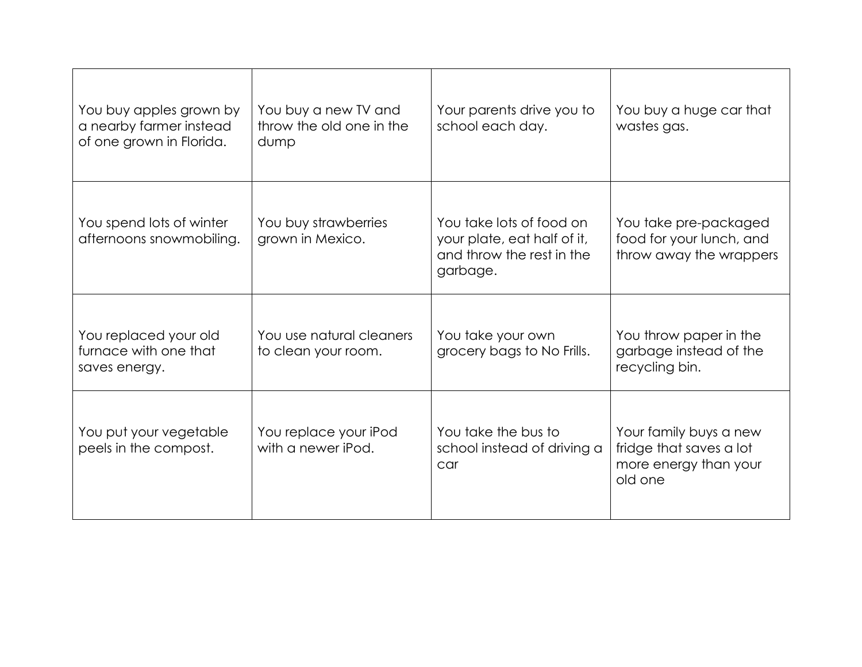| You buy apples grown by<br>a nearby farmer instead<br>of one grown in Florida. | You buy a new TV and<br>throw the old one in the<br>dump | Your parents drive you to<br>school each day.                                                    | You buy a huge car that<br>wastes gas.                                                |
|--------------------------------------------------------------------------------|----------------------------------------------------------|--------------------------------------------------------------------------------------------------|---------------------------------------------------------------------------------------|
| You spend lots of winter<br>afternoons snowmobiling.                           | You buy strawberries<br>grown in Mexico.                 | You take lots of food on<br>your plate, eat half of it,<br>and throw the rest in the<br>garbage. | You take pre-packaged<br>food for your lunch, and<br>throw away the wrappers          |
| You replaced your old<br>furnace with one that<br>saves energy.                | You use natural cleaners<br>to clean your room.          | You take your own<br>grocery bags to No Frills.                                                  | You throw paper in the<br>garbage instead of the<br>recycling bin.                    |
| You put your vegetable<br>peels in the compost.                                | You replace your iPod<br>with a newer iPod.              | You take the bus to<br>school instead of driving a<br>car                                        | Your family buys a new<br>fridge that saves a lot<br>more energy than your<br>old one |